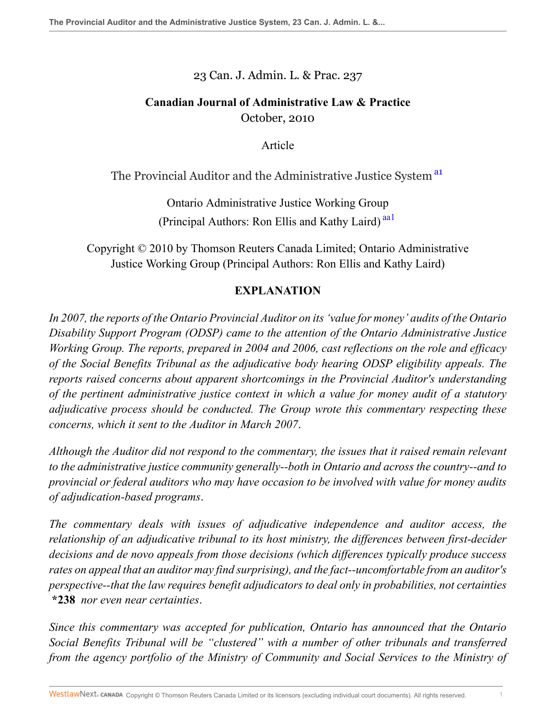23 Can. J. Admin. L. & Prac. 237

# **Canadian Journal of Administrative Law & Practice** October, 2010

<span id="page-0-1"></span><span id="page-0-0"></span>Article

The Provincial Auditor and the Administrative Justice System<sup>[a1](#page-9-0)</sup>

Ontario Administrative Justice Working Group (Principal Authors: Ron Ellis and Kathy Laird)<sup>[aa1](#page-10-0)</sup>

Copyright © 2010 by Thomson Reuters Canada Limited; Ontario Administrative Justice Working Group (Principal Authors: Ron Ellis and Kathy Laird)

## **EXPLANATION**

*In 2007, the reports of the Ontario Provincial Auditor on its 'value for money' audits of the Ontario Disability Support Program (ODSP) came to the attention of the Ontario Administrative Justice Working Group. The reports, prepared in 2004 and 2006, cast reflections on the role and efficacy of the Social Benefits Tribunal as the adjudicative body hearing ODSP eligibility appeals. The reports raised concerns about apparent shortcomings in the Provincial Auditor's understanding of the pertinent administrative justice context in which a value for money audit of a statutory adjudicative process should be conducted. The Group wrote this commentary respecting these concerns, which it sent to the Auditor in March 2007*.

*Although the Auditor did not respond to the commentary, the issues that it raised remain relevant to the administrative justice community generally--both in Ontario and across the country--and to provincial or federal auditors who may have occasion to be involved with value for money audits of adjudication-based programs*.

*The commentary deals with issues of adjudicative independence and auditor access, the relationship of an adjudicative tribunal to its host ministry, the differences between first-decider decisions and de novo appeals from those decisions (which differences typically produce success rates on appeal that an auditor may find surprising), and the fact--uncomfortable from an auditor's perspective--that the law requires benefit adjudicators to deal only in probabilities, not certainties* **\*238** *nor even near certainties*.

*Since this commentary was accepted for publication, Ontario has announced that the Ontario Social Benefits Tribunal will be "clustered" with a number of other tribunals and transferred from the agency portfolio of the Ministry of Community and Social Services to the Ministry of*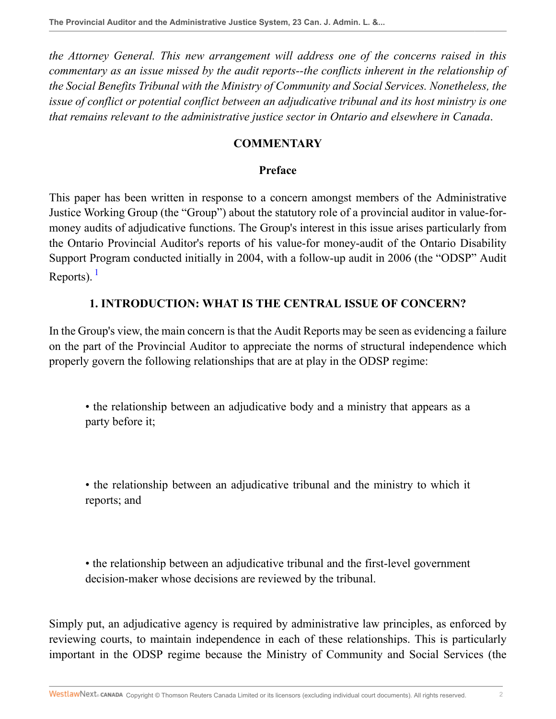*the Attorney General. This new arrangement will address one of the concerns raised in this commentary as an issue missed by the audit reports--the conflicts inherent in the relationship of the Social Benefits Tribunal with the Ministry of Community and Social Services. Nonetheless, the issue of conflict or potential conflict between an adjudicative tribunal and its host ministry is one that remains relevant to the administrative justice sector in Ontario and elsewhere in Canada*.

### **COMMENTARY**

#### **Preface**

This paper has been written in response to a concern amongst members of the Administrative Justice Working Group (the "Group") about the statutory role of a provincial auditor in value-formoney audits of adjudicative functions. The Group's interest in this issue arises particularly from the Ontario Provincial Auditor's reports of his value-for money-audit of the Ontario Disability Support Program conducted initially in 2004, with a follow-up audit in 2006 (the "ODSP" Audit Reports).  $<sup>1</sup>$  $<sup>1</sup>$  $<sup>1</sup>$ </sup>

### <span id="page-1-0"></span>**1. INTRODUCTION: WHAT IS THE CENTRAL ISSUE OF CONCERN?**

In the Group's view, the main concern is that the Audit Reports may be seen as evidencing a failure on the part of the Provincial Auditor to appreciate the norms of structural independence which properly govern the following relationships that are at play in the ODSP regime:

• the relationship between an adjudicative body and a ministry that appears as a party before it;

• the relationship between an adjudicative tribunal and the ministry to which it reports; and

• the relationship between an adjudicative tribunal and the first-level government decision-maker whose decisions are reviewed by the tribunal.

Simply put, an adjudicative agency is required by administrative law principles, as enforced by reviewing courts, to maintain independence in each of these relationships. This is particularly important in the ODSP regime because the Ministry of Community and Social Services (the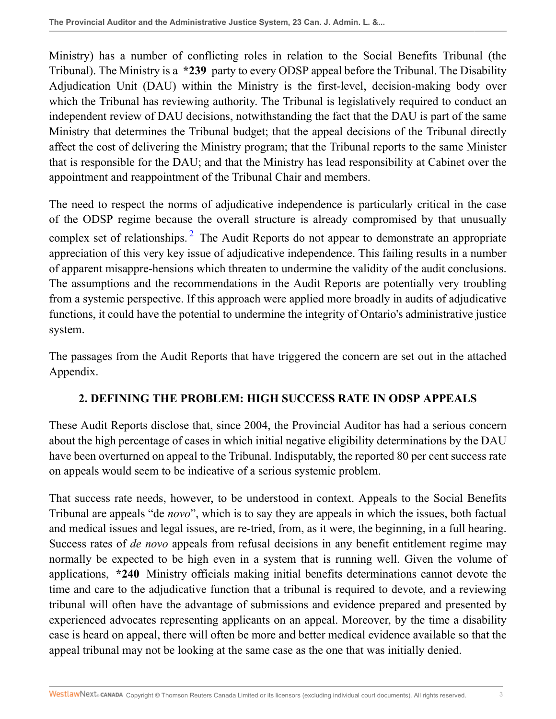Ministry) has a number of conflicting roles in relation to the Social Benefits Tribunal (the Tribunal). The Ministry is a **\*239** party to every ODSP appeal before the Tribunal. The Disability Adjudication Unit (DAU) within the Ministry is the first-level, decision-making body over which the Tribunal has reviewing authority. The Tribunal is legislatively required to conduct an independent review of DAU decisions, notwithstanding the fact that the DAU is part of the same Ministry that determines the Tribunal budget; that the appeal decisions of the Tribunal directly affect the cost of delivering the Ministry program; that the Tribunal reports to the same Minister that is responsible for the DAU; and that the Ministry has lead responsibility at Cabinet over the appointment and reappointment of the Tribunal Chair and members.

<span id="page-2-0"></span>The need to respect the norms of adjudicative independence is particularly critical in the case of the ODSP regime because the overall structure is already compromised by that unusually complex set of relationships.<sup>[2](#page-10-2)</sup> The Audit Reports do not appear to demonstrate an appropriate appreciation of this very key issue of adjudicative independence. This failing results in a number of apparent misappre-hensions which threaten to undermine the validity of the audit conclusions. The assumptions and the recommendations in the Audit Reports are potentially very troubling from a systemic perspective. If this approach were applied more broadly in audits of adjudicative functions, it could have the potential to undermine the integrity of Ontario's administrative justice system.

The passages from the Audit Reports that have triggered the concern are set out in the attached Appendix.

## **2. DEFINING THE PROBLEM: HIGH SUCCESS RATE IN ODSP APPEALS**

These Audit Reports disclose that, since 2004, the Provincial Auditor has had a serious concern about the high percentage of cases in which initial negative eligibility determinations by the DAU have been overturned on appeal to the Tribunal. Indisputably, the reported 80 per cent success rate on appeals would seem to be indicative of a serious systemic problem.

That success rate needs, however, to be understood in context. Appeals to the Social Benefits Tribunal are appeals "de *novo*", which is to say they are appeals in which the issues, both factual and medical issues and legal issues, are re-tried, from, as it were, the beginning, in a full hearing. Success rates of *de novo* appeals from refusal decisions in any benefit entitlement regime may normally be expected to be high even in a system that is running well. Given the volume of applications, **\*240** Ministry officials making initial benefits determinations cannot devote the time and care to the adjudicative function that a tribunal is required to devote, and a reviewing tribunal will often have the advantage of submissions and evidence prepared and presented by experienced advocates representing applicants on an appeal. Moreover, by the time a disability case is heard on appeal, there will often be more and better medical evidence available so that the appeal tribunal may not be looking at the same case as the one that was initially denied.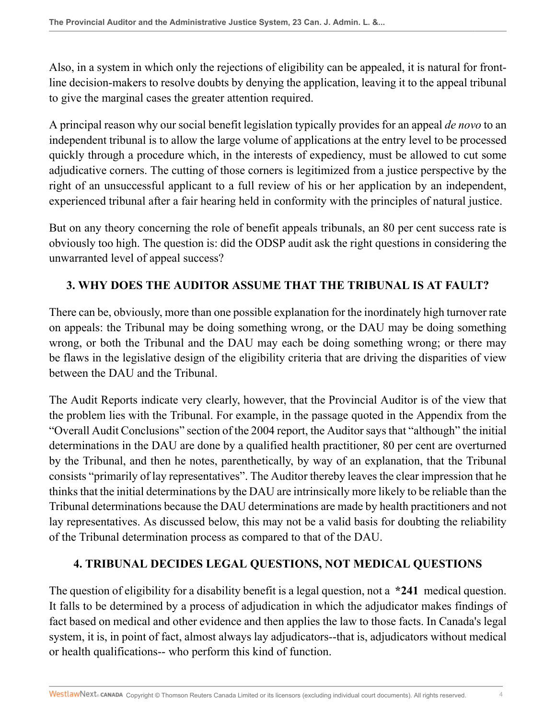Also, in a system in which only the rejections of eligibility can be appealed, it is natural for frontline decision-makers to resolve doubts by denying the application, leaving it to the appeal tribunal to give the marginal cases the greater attention required.

A principal reason why our social benefit legislation typically provides for an appeal *de novo* to an independent tribunal is to allow the large volume of applications at the entry level to be processed quickly through a procedure which, in the interests of expediency, must be allowed to cut some adjudicative corners. The cutting of those corners is legitimized from a justice perspective by the right of an unsuccessful applicant to a full review of his or her application by an independent, experienced tribunal after a fair hearing held in conformity with the principles of natural justice.

But on any theory concerning the role of benefit appeals tribunals, an 80 per cent success rate is obviously too high. The question is: did the ODSP audit ask the right questions in considering the unwarranted level of appeal success?

## **3. WHY DOES THE AUDITOR ASSUME THAT THE TRIBUNAL IS AT FAULT?**

There can be, obviously, more than one possible explanation for the inordinately high turnover rate on appeals: the Tribunal may be doing something wrong, or the DAU may be doing something wrong, or both the Tribunal and the DAU may each be doing something wrong; or there may be flaws in the legislative design of the eligibility criteria that are driving the disparities of view between the DAU and the Tribunal.

The Audit Reports indicate very clearly, however, that the Provincial Auditor is of the view that the problem lies with the Tribunal. For example, in the passage quoted in the Appendix from the "Overall Audit Conclusions" section of the 2004 report, the Auditor says that "although" the initial determinations in the DAU are done by a qualified health practitioner, 80 per cent are overturned by the Tribunal, and then he notes, parenthetically, by way of an explanation, that the Tribunal consists "primarily of lay representatives". The Auditor thereby leaves the clear impression that he thinks that the initial determinations by the DAU are intrinsically more likely to be reliable than the Tribunal determinations because the DAU determinations are made by health practitioners and not lay representatives. As discussed below, this may not be a valid basis for doubting the reliability of the Tribunal determination process as compared to that of the DAU.

## **4. TRIBUNAL DECIDES LEGAL QUESTIONS, NOT MEDICAL QUESTIONS**

The question of eligibility for a disability benefit is a legal question, not a **\*241** medical question. It falls to be determined by a process of adjudication in which the adjudicator makes findings of fact based on medical and other evidence and then applies the law to those facts. In Canada's legal system, it is, in point of fact, almost always lay adjudicators--that is, adjudicators without medical or health qualifications-- who perform this kind of function.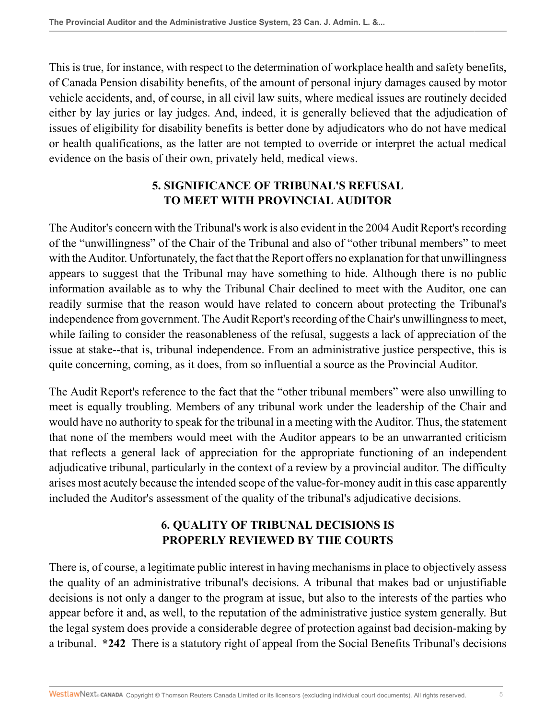This is true, for instance, with respect to the determination of workplace health and safety benefits, of Canada Pension disability benefits, of the amount of personal injury damages caused by motor vehicle accidents, and, of course, in all civil law suits, where medical issues are routinely decided either by lay juries or lay judges. And, indeed, it is generally believed that the adjudication of issues of eligibility for disability benefits is better done by adjudicators who do not have medical or health qualifications, as the latter are not tempted to override or interpret the actual medical evidence on the basis of their own, privately held, medical views.

# **5. SIGNIFICANCE OF TRIBUNAL'S REFUSAL TO MEET WITH PROVINCIAL AUDITOR**

The Auditor's concern with the Tribunal's work is also evident in the 2004 Audit Report's recording of the "unwillingness" of the Chair of the Tribunal and also of "other tribunal members" to meet with the Auditor. Unfortunately, the fact that the Report offers no explanation for that unwillingness appears to suggest that the Tribunal may have something to hide. Although there is no public information available as to why the Tribunal Chair declined to meet with the Auditor, one can readily surmise that the reason would have related to concern about protecting the Tribunal's independence from government. The Audit Report's recording of the Chair's unwillingness to meet, while failing to consider the reasonableness of the refusal, suggests a lack of appreciation of the issue at stake--that is, tribunal independence. From an administrative justice perspective, this is quite concerning, coming, as it does, from so influential a source as the Provincial Auditor.

The Audit Report's reference to the fact that the "other tribunal members" were also unwilling to meet is equally troubling. Members of any tribunal work under the leadership of the Chair and would have no authority to speak for the tribunal in a meeting with the Auditor. Thus, the statement that none of the members would meet with the Auditor appears to be an unwarranted criticism that reflects a general lack of appreciation for the appropriate functioning of an independent adjudicative tribunal, particularly in the context of a review by a provincial auditor. The difficulty arises most acutely because the intended scope of the value-for-money audit in this case apparently included the Auditor's assessment of the quality of the tribunal's adjudicative decisions.

## **6. QUALITY OF TRIBUNAL DECISIONS IS PROPERLY REVIEWED BY THE COURTS**

There is, of course, a legitimate public interest in having mechanisms in place to objectively assess the quality of an administrative tribunal's decisions. A tribunal that makes bad or unjustifiable decisions is not only a danger to the program at issue, but also to the interests of the parties who appear before it and, as well, to the reputation of the administrative justice system generally. But the legal system does provide a considerable degree of protection against bad decision-making by a tribunal. **\*242** There is a statutory right of appeal from the Social Benefits Tribunal's decisions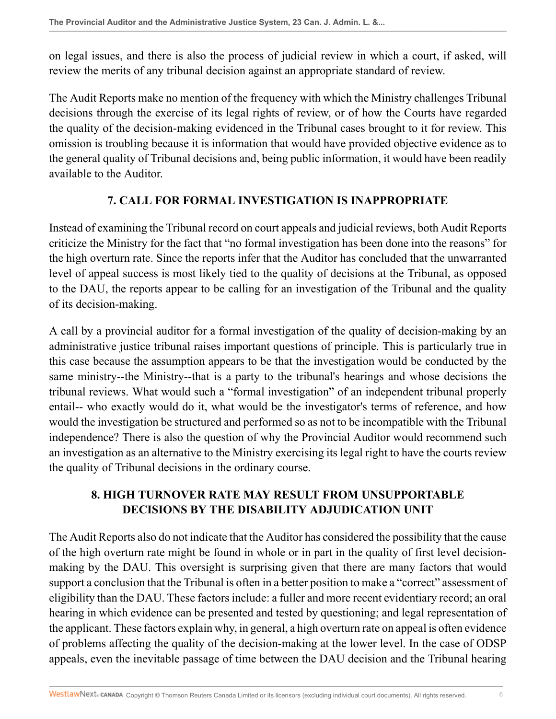on legal issues, and there is also the process of judicial review in which a court, if asked, will review the merits of any tribunal decision against an appropriate standard of review.

The Audit Reports make no mention of the frequency with which the Ministry challenges Tribunal decisions through the exercise of its legal rights of review, or of how the Courts have regarded the quality of the decision-making evidenced in the Tribunal cases brought to it for review. This omission is troubling because it is information that would have provided objective evidence as to the general quality of Tribunal decisions and, being public information, it would have been readily available to the Auditor.

## **7. CALL FOR FORMAL INVESTIGATION IS INAPPROPRIATE**

Instead of examining the Tribunal record on court appeals and judicial reviews, both Audit Reports criticize the Ministry for the fact that "no formal investigation has been done into the reasons" for the high overturn rate. Since the reports infer that the Auditor has concluded that the unwarranted level of appeal success is most likely tied to the quality of decisions at the Tribunal, as opposed to the DAU, the reports appear to be calling for an investigation of the Tribunal and the quality of its decision-making.

A call by a provincial auditor for a formal investigation of the quality of decision-making by an administrative justice tribunal raises important questions of principle. This is particularly true in this case because the assumption appears to be that the investigation would be conducted by the same ministry--the Ministry--that is a party to the tribunal's hearings and whose decisions the tribunal reviews. What would such a "formal investigation" of an independent tribunal properly entail-- who exactly would do it, what would be the investigator's terms of reference, and how would the investigation be structured and performed so as not to be incompatible with the Tribunal independence? There is also the question of why the Provincial Auditor would recommend such an investigation as an alternative to the Ministry exercising its legal right to have the courts review the quality of Tribunal decisions in the ordinary course.

## **8. HIGH TURNOVER RATE MAY RESULT FROM UNSUPPORTABLE DECISIONS BY THE DISABILITY ADJUDICATION UNIT**

The Audit Reports also do not indicate that the Auditor has considered the possibility that the cause of the high overturn rate might be found in whole or in part in the quality of first level decisionmaking by the DAU. This oversight is surprising given that there are many factors that would support a conclusion that the Tribunal is often in a better position to make a "correct" assessment of eligibility than the DAU. These factors include: a fuller and more recent evidentiary record; an oral hearing in which evidence can be presented and tested by questioning; and legal representation of the applicant. These factors explain why, in general, a high overturn rate on appeal is often evidence of problems affecting the quality of the decision-making at the lower level. In the case of ODSP appeals, even the inevitable passage of time between the DAU decision and the Tribunal hearing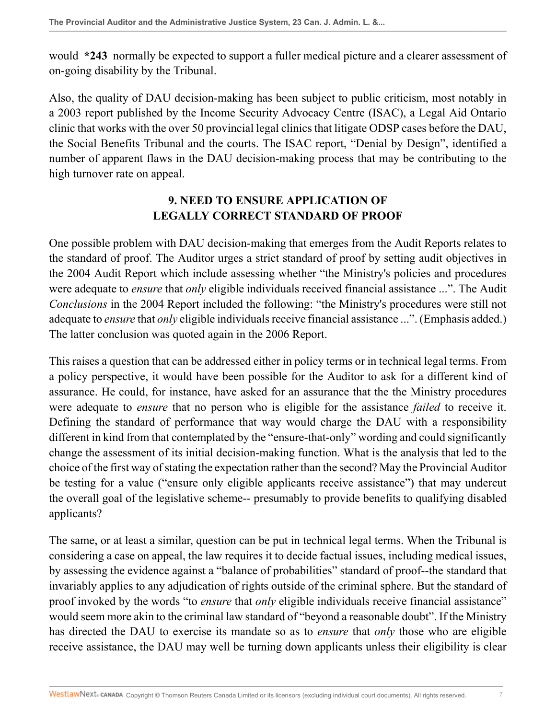would **\*243** normally be expected to support a fuller medical picture and a clearer assessment of on-going disability by the Tribunal.

Also, the quality of DAU decision-making has been subject to public criticism, most notably in a 2003 report published by the Income Security Advocacy Centre (ISAC), a Legal Aid Ontario clinic that works with the over 50 provincial legal clinics that litigate ODSP cases before the DAU, the Social Benefits Tribunal and the courts. The ISAC report, "Denial by Design", identified a number of apparent flaws in the DAU decision-making process that may be contributing to the high turnover rate on appeal.

## **9. NEED TO ENSURE APPLICATION OF LEGALLY CORRECT STANDARD OF PROOF**

One possible problem with DAU decision-making that emerges from the Audit Reports relates to the standard of proof. The Auditor urges a strict standard of proof by setting audit objectives in the 2004 Audit Report which include assessing whether "the Ministry's policies and procedures were adequate to *ensure* that *only* eligible individuals received financial assistance ...". The Audit *Conclusions* in the 2004 Report included the following: "the Ministry's procedures were still not adequate to *ensure* that *only* eligible individuals receive financial assistance ...". (Emphasis added.) The latter conclusion was quoted again in the 2006 Report.

This raises a question that can be addressed either in policy terms or in technical legal terms. From a policy perspective, it would have been possible for the Auditor to ask for a different kind of assurance. He could, for instance, have asked for an assurance that the the Ministry procedures were adequate to *ensure* that no person who is eligible for the assistance *failed* to receive it. Defining the standard of performance that way would charge the DAU with a responsibility different in kind from that contemplated by the "ensure-that-only" wording and could significantly change the assessment of its initial decision-making function. What is the analysis that led to the choice of the first way of stating the expectation rather than the second? May the Provincial Auditor be testing for a value ("ensure only eligible applicants receive assistance") that may undercut the overall goal of the legislative scheme-- presumably to provide benefits to qualifying disabled applicants?

The same, or at least a similar, question can be put in technical legal terms. When the Tribunal is considering a case on appeal, the law requires it to decide factual issues, including medical issues, by assessing the evidence against a "balance of probabilities" standard of proof--the standard that invariably applies to any adjudication of rights outside of the criminal sphere. But the standard of proof invoked by the words "to *ensure* that *only* eligible individuals receive financial assistance" would seem more akin to the criminal law standard of "beyond a reasonable doubt". If the Ministry has directed the DAU to exercise its mandate so as to *ensure* that *only* those who are eligible receive assistance, the DAU may well be turning down applicants unless their eligibility is clear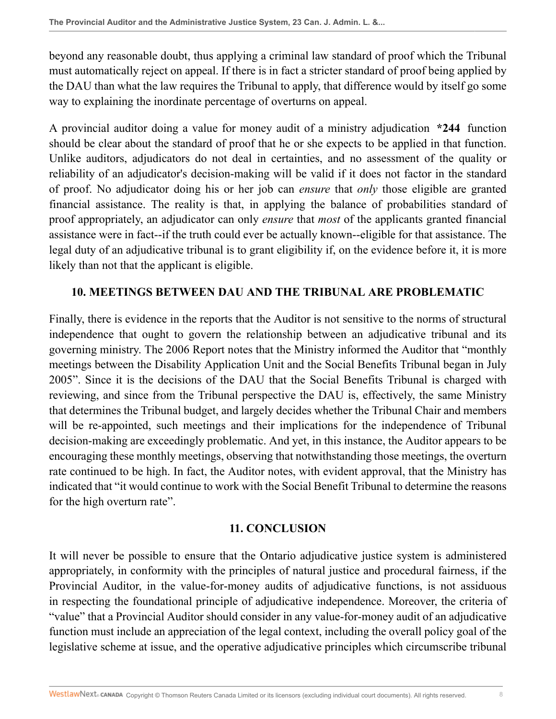beyond any reasonable doubt, thus applying a criminal law standard of proof which the Tribunal must automatically reject on appeal. If there is in fact a stricter standard of proof being applied by the DAU than what the law requires the Tribunal to apply, that difference would by itself go some way to explaining the inordinate percentage of overturns on appeal.

A provincial auditor doing a value for money audit of a ministry adjudication **\*244** function should be clear about the standard of proof that he or she expects to be applied in that function. Unlike auditors, adjudicators do not deal in certainties, and no assessment of the quality or reliability of an adjudicator's decision-making will be valid if it does not factor in the standard of proof. No adjudicator doing his or her job can *ensure* that *only* those eligible are granted financial assistance. The reality is that, in applying the balance of probabilities standard of proof appropriately, an adjudicator can only *ensure* that *most* of the applicants granted financial assistance were in fact--if the truth could ever be actually known--eligible for that assistance. The legal duty of an adjudicative tribunal is to grant eligibility if, on the evidence before it, it is more likely than not that the applicant is eligible.

### **10. MEETINGS BETWEEN DAU AND THE TRIBUNAL ARE PROBLEMATIC**

Finally, there is evidence in the reports that the Auditor is not sensitive to the norms of structural independence that ought to govern the relationship between an adjudicative tribunal and its governing ministry. The 2006 Report notes that the Ministry informed the Auditor that "monthly meetings between the Disability Application Unit and the Social Benefits Tribunal began in July 2005". Since it is the decisions of the DAU that the Social Benefits Tribunal is charged with reviewing, and since from the Tribunal perspective the DAU is, effectively, the same Ministry that determines the Tribunal budget, and largely decides whether the Tribunal Chair and members will be re-appointed, such meetings and their implications for the independence of Tribunal decision-making are exceedingly problematic. And yet, in this instance, the Auditor appears to be encouraging these monthly meetings, observing that notwithstanding those meetings, the overturn rate continued to be high. In fact, the Auditor notes, with evident approval, that the Ministry has indicated that "it would continue to work with the Social Benefit Tribunal to determine the reasons for the high overturn rate".

### **11. CONCLUSION**

It will never be possible to ensure that the Ontario adjudicative justice system is administered appropriately, in conformity with the principles of natural justice and procedural fairness, if the Provincial Auditor, in the value-for-money audits of adjudicative functions, is not assiduous in respecting the foundational principle of adjudicative independence. Moreover, the criteria of "value" that a Provincial Auditor should consider in any value-for-money audit of an adjudicative function must include an appreciation of the legal context, including the overall policy goal of the legislative scheme at issue, and the operative adjudicative principles which circumscribe tribunal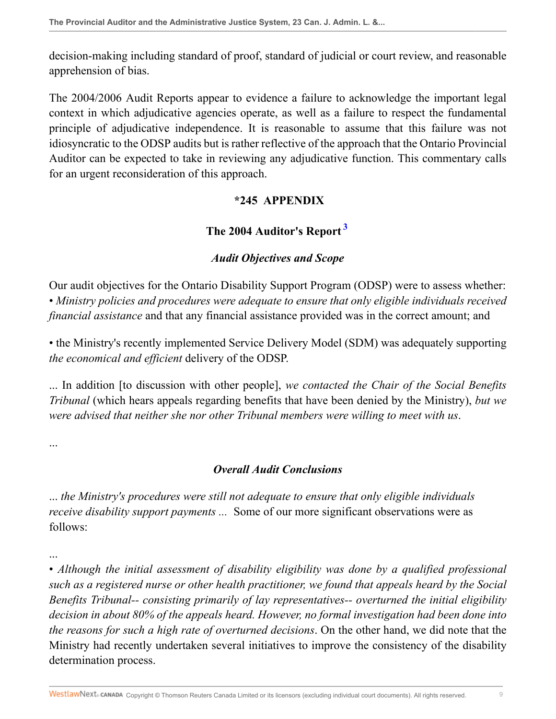decision-making including standard of proof, standard of judicial or court review, and reasonable apprehension of bias.

The 2004/2006 Audit Reports appear to evidence a failure to acknowledge the important legal context in which adjudicative agencies operate, as well as a failure to respect the fundamental principle of adjudicative independence. It is reasonable to assume that this failure was not idiosyncratic to the ODSP audits but is rather reflective of the approach that the Ontario Provincial Auditor can be expected to take in reviewing any adjudicative function. This commentary calls for an urgent reconsideration of this approach.

## <span id="page-8-0"></span>**\*245 APPENDIX**

# **The 2004 Auditor's Report [3](#page-10-3)**

# *Audit Objectives and Scope*

Our audit objectives for the Ontario Disability Support Program (ODSP) were to assess whether: • *Ministry policies and procedures were adequate to ensure that only eligible individuals received financial assistance* and that any financial assistance provided was in the correct amount; and

• the Ministry's recently implemented Service Delivery Model (SDM) was adequately supporting *the economical and efficient* delivery of the ODSP.

... In addition [to discussion with other people], *we contacted the Chair of the Social Benefits Tribunal* (which hears appeals regarding benefits that have been denied by the Ministry), *but we were advised that neither she nor other Tribunal members were willing to meet with us*.

...

# *Overall Audit Conclusions*

... *the Ministry's procedures were still not adequate to ensure that only eligible individuals receive disability support payments ...* Some of our more significant observations were as follows:

... • *Although the initial assessment of disability eligibility was done by a qualified professional such as a registered nurse or other health practitioner, we found that appeals heard by the Social Benefits Tribunal-- consisting primarily of lay representatives-- overturned the initial eligibility decision in about 80% of the appeals heard. However, no formal investigation had been done into the reasons for such a high rate of overturned decisions*. On the other hand, we did note that the Ministry had recently undertaken several initiatives to improve the consistency of the disability determination process.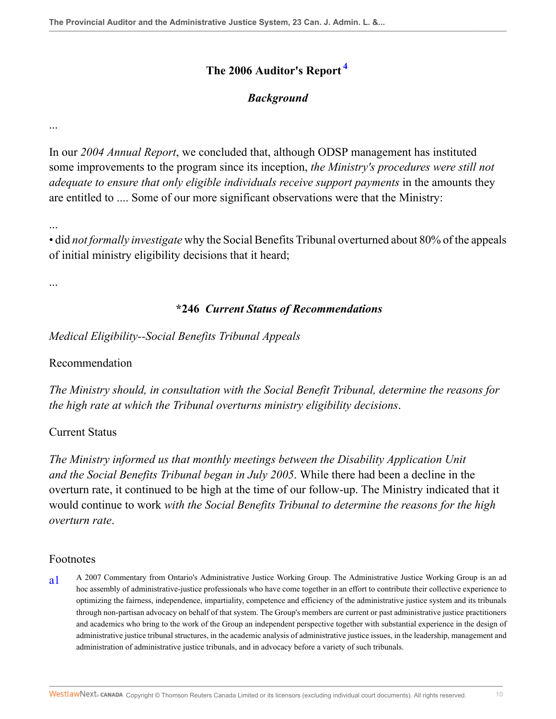## **The 2006 Auditor's Report [4](#page-10-4)**

### <span id="page-9-1"></span>*Background*

...

In our *2004 Annual Report*, we concluded that, although ODSP management has instituted some improvements to the program since its inception, *the Ministry's procedures were still not adequate to ensure that only eligible individuals receive support payments* in the amounts they are entitled to .... Some of our more significant observations were that the Ministry:

...

...

• did *not formally investigate* why the Social Benefits Tribunal overturned about 80% of the appeals of initial ministry eligibility decisions that it heard;

### **\*246** *Current Status of Recommendations*

*Medical Eligibility--Social Benefits Tribunal Appeals*

#### Recommendation

*The Ministry should, in consultation with the Social Benefit Tribunal, determine the reasons for the high rate at which the Tribunal overturns ministry eligibility decisions*.

### Current Status

*The Ministry informed us that monthly meetings between the Disability Application Unit and the Social Benefits Tribunal began in July 2005*. While there had been a decline in the overturn rate, it continued to be high at the time of our follow-up. The Ministry indicated that it would continue to work *with the Social Benefits Tribunal to determine the reasons for the high overturn rate*.

#### Footnotes

<span id="page-9-0"></span>[a1](#page-0-0) A 2007 Commentary from Ontario's Administrative Justice Working Group. The Administrative Justice Working Group is an ad hoc assembly of administrative-justice professionals who have come together in an effort to contribute their collective experience to optimizing the fairness, independence, impartiality, competence and efficiency of the administrative justice system and its tribunals through non-partisan advocacy on behalf of that system. The Group's members are current or past administrative justice practitioners and academics who bring to the work of the Group an independent perspective together with substantial experience in the design of administrative justice tribunal structures, in the academic analysis of administrative justice issues, in the leadership, management and administration of administrative justice tribunals, and in advocacy before a variety of such tribunals.